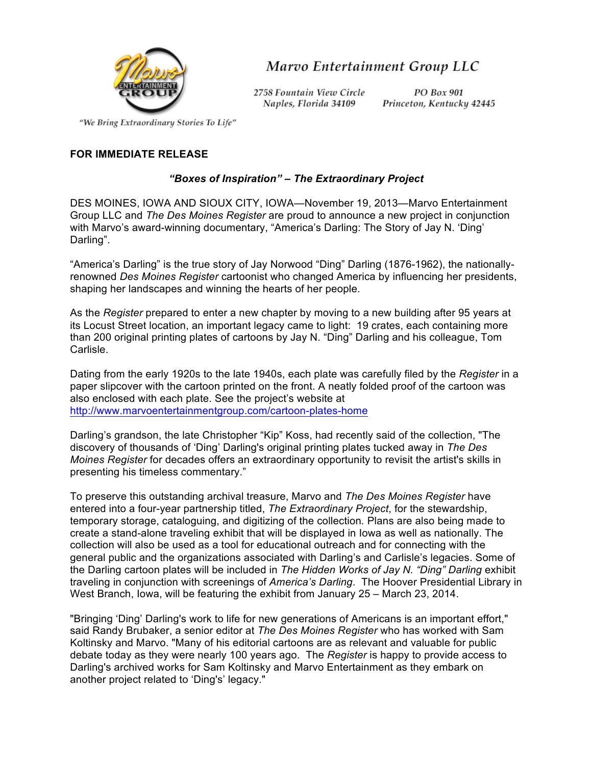

Marvo Entertainment Group LLC

2758 Fountain View Circle Naples, Florida 34109

PO Box 901 Princeton, Kentucky 42445

"We Bring Extraordinary Stories To Life"

## **FOR IMMEDIATE RELEASE**

## *"Boxes of Inspiration" – The Extraordinary Project*

DES MOINES, IOWA AND SIOUX CITY, IOWA—November 19, 2013—Marvo Entertainment Group LLC and *The Des Moines Register* are proud to announce a new project in conjunction with Marvo's award-winning documentary, "America's Darling: The Story of Jay N. 'Ding' Darling".

"America's Darling" is the true story of Jay Norwood "Ding" Darling (1876-1962), the nationallyrenowned *Des Moines Register* cartoonist who changed America by influencing her presidents, shaping her landscapes and winning the hearts of her people.

As the *Register* prepared to enter a new chapter by moving to a new building after 95 years at its Locust Street location, an important legacy came to light: 19 crates, each containing more than 200 original printing plates of cartoons by Jay N. "Ding" Darling and his colleague, Tom Carlisle.

Dating from the early 1920s to the late 1940s, each plate was carefully filed by the *Register* in a paper slipcover with the cartoon printed on the front. A neatly folded proof of the cartoon was also enclosed with each plate. See the project's website at http://www.marvoentertainmentgroup.com/cartoon-plates-home

Darling's grandson, the late Christopher "Kip" Koss, had recently said of the collection, "The discovery of thousands of 'Ding' Darling's original printing plates tucked away in *The Des Moines Register* for decades offers an extraordinary opportunity to revisit the artist's skills in presenting his timeless commentary."

To preserve this outstanding archival treasure, Marvo and *The Des Moines Register* have entered into a four-year partnership titled, *The Extraordinary Project*, for the stewardship, temporary storage, cataloguing, and digitizing of the collection*.* Plans are also being made to create a stand-alone traveling exhibit that will be displayed in Iowa as well as nationally. The collection will also be used as a tool for educational outreach and for connecting with the general public and the organizations associated with Darling's and Carlisle's legacies. Some of the Darling cartoon plates will be included in *The Hidden Works of Jay N. "Ding" Darling* exhibit traveling in conjunction with screenings of *America's Darling*. The Hoover Presidential Library in West Branch, Iowa, will be featuring the exhibit from January 25 – March 23, 2014.

"Bringing 'Ding' Darling's work to life for new generations of Americans is an important effort," said Randy Brubaker, a senior editor at *The Des Moines Register* who has worked with Sam Koltinsky and Marvo. "Many of his editorial cartoons are as relevant and valuable for public debate today as they were nearly 100 years ago. The *Register* is happy to provide access to Darling's archived works for Sam Koltinsky and Marvo Entertainment as they embark on another project related to 'Ding's' legacy."